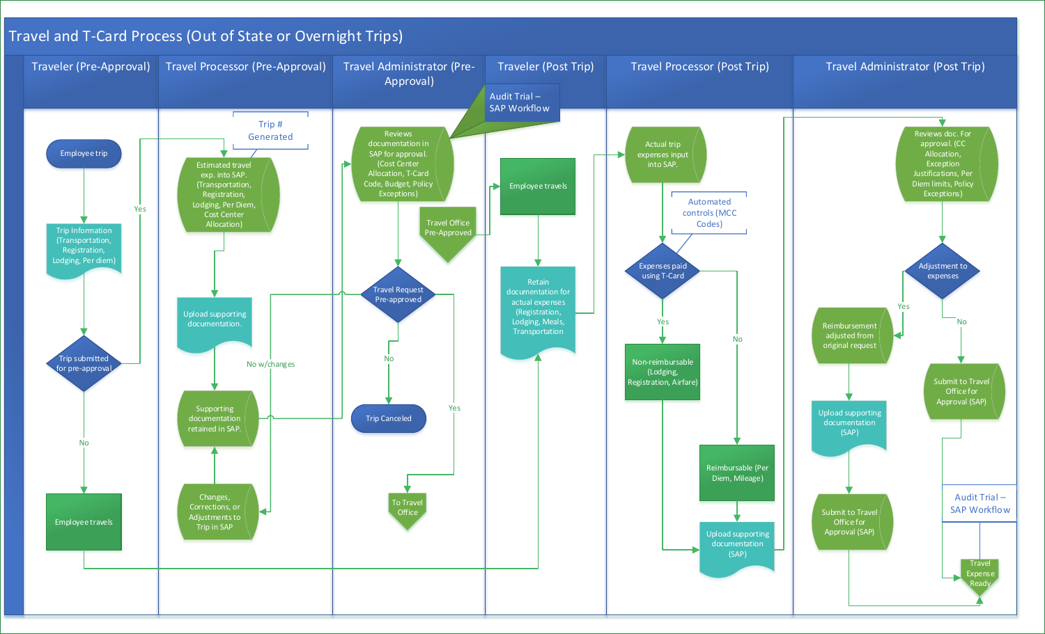<span id="page-0-0"></span>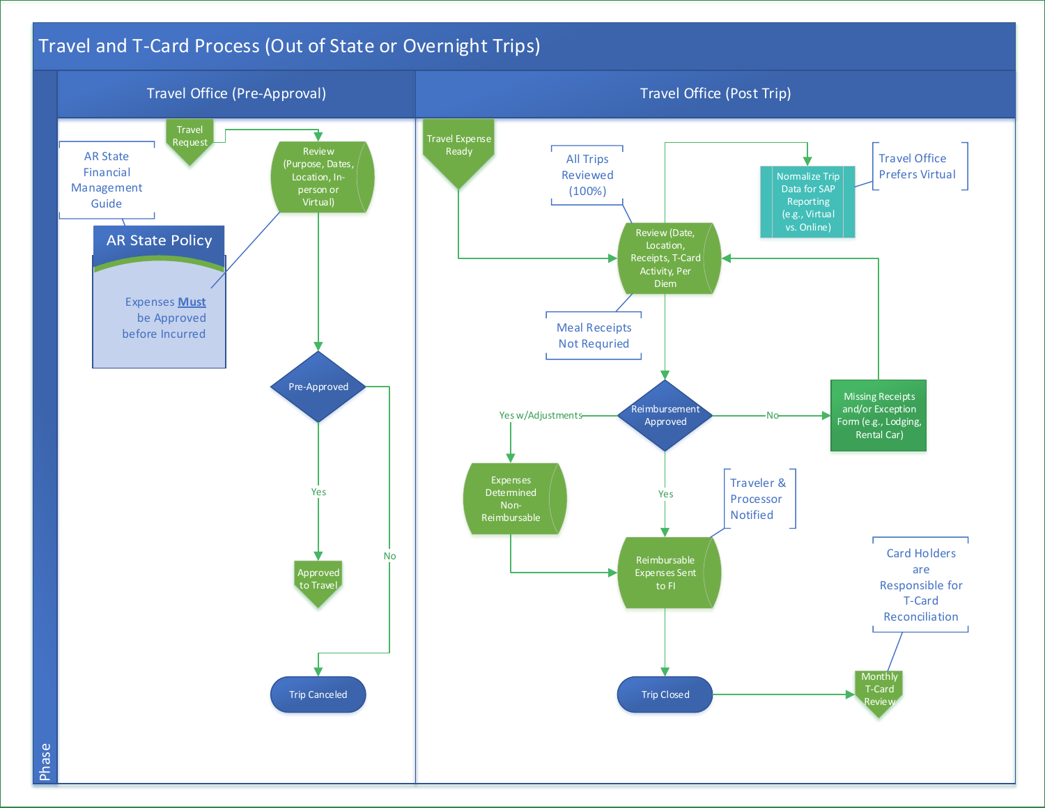## <span id="page-1-0"></span>Travel and T-Card Process (Out of State or Overnight Trips)